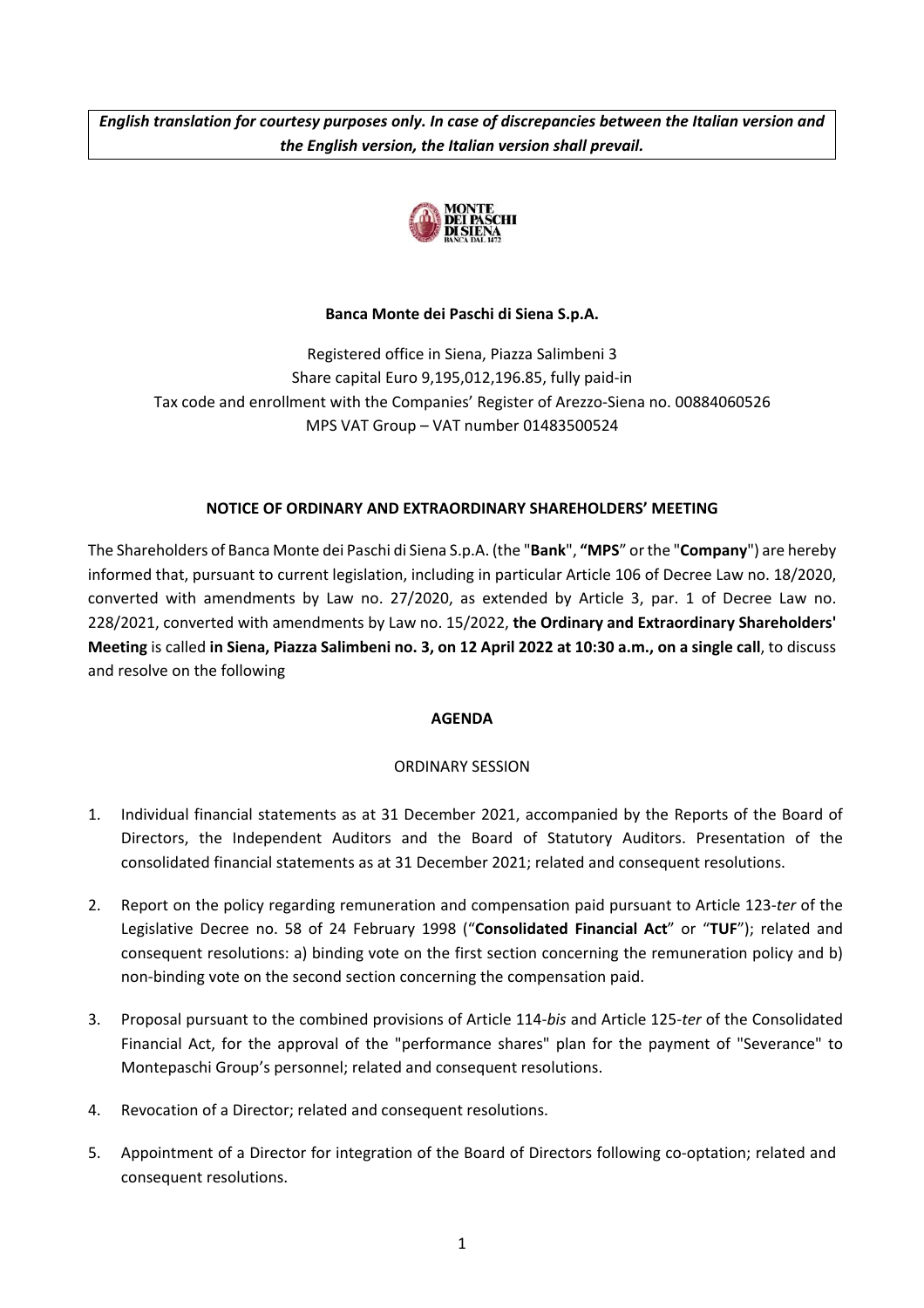*English translation for courtesy purposes only. In case of discrepancies between the Italian version and the English version, the Italian version shall prevail.*



# **Banca Monte dei Paschi di Siena S.p.A.**

Registered office in Siena, Piazza Salimbeni 3 Share capital Euro 9,195,012,196.85, fully paid-in Tax code and enrollment with the Companies' Register of Arezzo-Siena no. 00884060526 MPS VAT Group – VAT number 01483500524

# **NOTICE OF ORDINARY AND EXTRAORDINARY SHAREHOLDERS' MEETING**

The Shareholders of Banca Monte dei Paschi di Siena S.p.A. (the "**Bank**", **"MPS**" or the "**Company**") are hereby informed that, pursuant to current legislation, including in particular Article 106 of Decree Law no. 18/2020, converted with amendments by Law no. 27/2020, as extended by Article 3, par. 1 of Decree Law no. 228/2021, converted with amendments by Law no. 15/2022, **the Ordinary and Extraordinary Shareholders' Meeting** is called **in Siena, Piazza Salimbeni no. 3, on 12 April 2022 at 10:30 a.m., on a single call**, to discuss and resolve on the following

# **AGENDA**

# ORDINARY SESSION

- 1. Individual financial statements as at 31 December 2021, accompanied by the Reports of the Board of Directors, the Independent Auditors and the Board of Statutory Auditors. Presentation of the consolidated financial statements as at 31 December 2021; related and consequent resolutions.
- 2. Report on the policy regarding remuneration and compensation paid pursuant to Article 123-*ter* of the Legislative Decree no. 58 of 24 February 1998 ("**Consolidated Financial Act**" or "**TUF**"); related and consequent resolutions: a) binding vote on the first section concerning the remuneration policy and b) non-binding vote on the second section concerning the compensation paid.
- 3. Proposal pursuant to the combined provisions of Article 114-*bis* and Article 125-*ter* of the Consolidated Financial Act, for the approval of the "performance shares" plan for the payment of "Severance" to Montepaschi Group's personnel; related and consequent resolutions.
- 4. Revocation of a Director; related and consequent resolutions.
- 5. Appointment of a Director for integration of the Board of Directors following co-optation; related and consequent resolutions.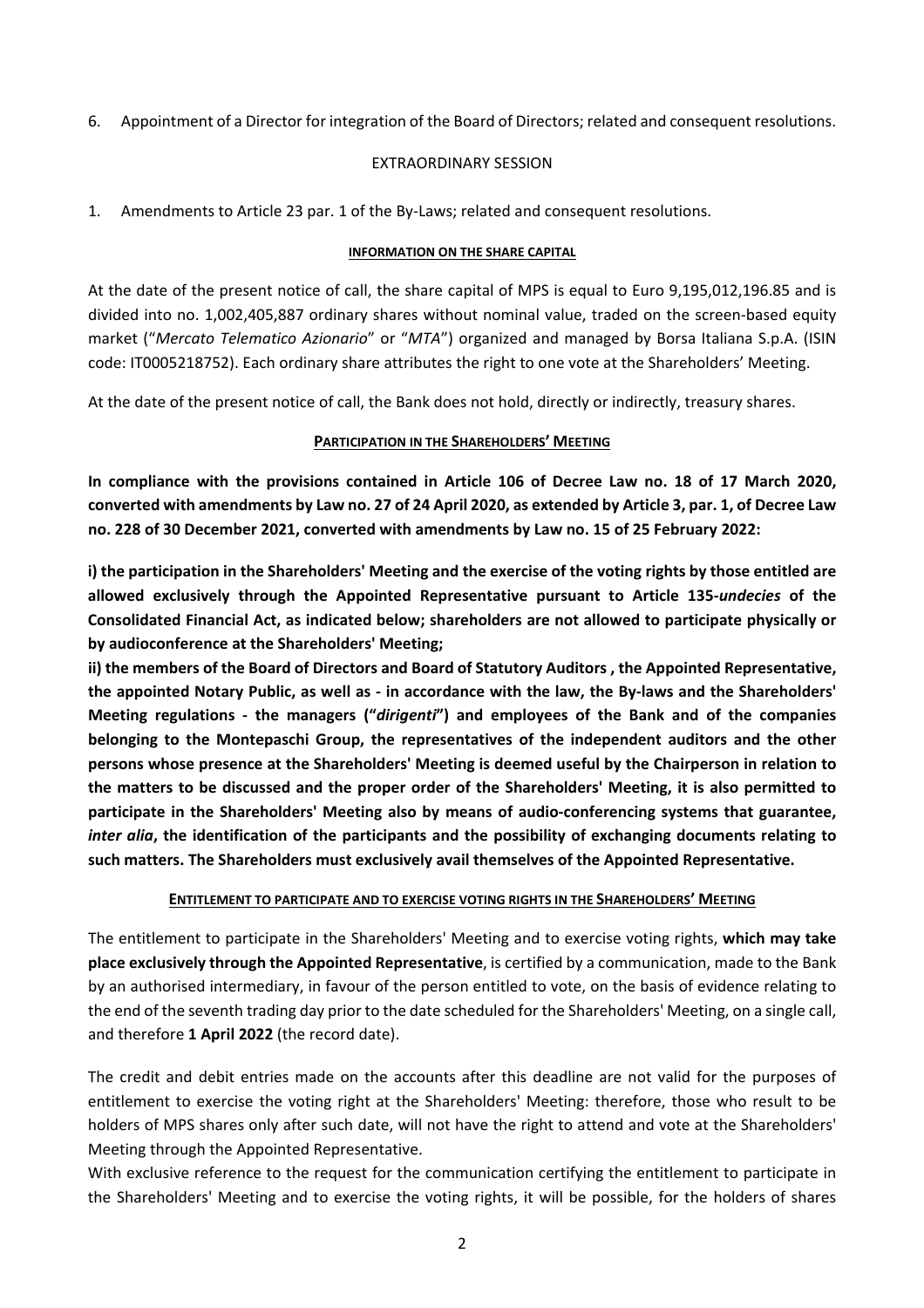6. Appointment of a Director for integration of the Board of Directors; related and consequent resolutions.

#### EXTRAORDINARY SESSION

1. Amendments to Article 23 par. 1 of the By-Laws; related and consequent resolutions.

#### **INFORMATION ON THE SHARE CAPITAL**

At the date of the present notice of call, the share capital of MPS is equal to Euro 9,195,012,196.85 and is divided into no. 1,002,405,887 ordinary shares without nominal value, traded on the screen-based equity market ("*Mercato Telematico Azionario*" or "*MTA*") organized and managed by Borsa Italiana S.p.A. (ISIN code: IT0005218752). Each ordinary share attributes the right to one vote at the Shareholders' Meeting.

At the date of the present notice of call, the Bank does not hold, directly or indirectly, treasury shares.

# **PARTICIPATION IN THE SHAREHOLDERS' MEETING**

**In compliance with the provisions contained in Article 106 of Decree Law no. 18 of 17 March 2020, converted with amendments by Law no. 27 of 24 April 2020, as extended by Article 3, par. 1, of Decree Law no. 228 of 30 December 2021, converted with amendments by Law no. 15 of 25 February 2022:** 

**i) the participation in the Shareholders' Meeting and the exercise of the voting rights by those entitled are allowed exclusively through the Appointed Representative pursuant to Article 135-***undecies* **of the Consolidated Financial Act, as indicated below; shareholders are not allowed to participate physically or by audioconference at the Shareholders' Meeting;** 

**ii) the members of the Board of Directors and Board of Statutory Auditors , the Appointed Representative, the appointed Notary Public, as well as - in accordance with the law, the By-laws and the Shareholders' Meeting regulations - the managers ("***dirigenti***") and employees of the Bank and of the companies belonging to the Montepaschi Group, the representatives of the independent auditors and the other persons whose presence at the Shareholders' Meeting is deemed useful by the Chairperson in relation to the matters to be discussed and the proper order of the Shareholders' Meeting, it is also permitted to participate in the Shareholders' Meeting also by means of audio-conferencing systems that guarantee,**  *inter alia***, the identification of the participants and the possibility of exchanging documents relating to such matters. The Shareholders must exclusively avail themselves of the Appointed Representative.** 

# **ENTITLEMENT TO PARTICIPATE AND TO EXERCISE VOTING RIGHTS IN THE SHAREHOLDERS' MEETING**

The entitlement to participate in the Shareholders' Meeting and to exercise voting rights, **which may take place exclusively through the Appointed Representative**, is certified by a communication, made to the Bank by an authorised intermediary, in favour of the person entitled to vote, on the basis of evidence relating to the end of the seventh trading day prior to the date scheduled for the Shareholders' Meeting, on a single call, and therefore **1 April 2022** (the record date).

The credit and debit entries made on the accounts after this deadline are not valid for the purposes of entitlement to exercise the voting right at the Shareholders' Meeting: therefore, those who result to be holders of MPS shares only after such date, will not have the right to attend and vote at the Shareholders' Meeting through the Appointed Representative.

With exclusive reference to the request for the communication certifying the entitlement to participate in the Shareholders' Meeting and to exercise the voting rights, it will be possible, for the holders of shares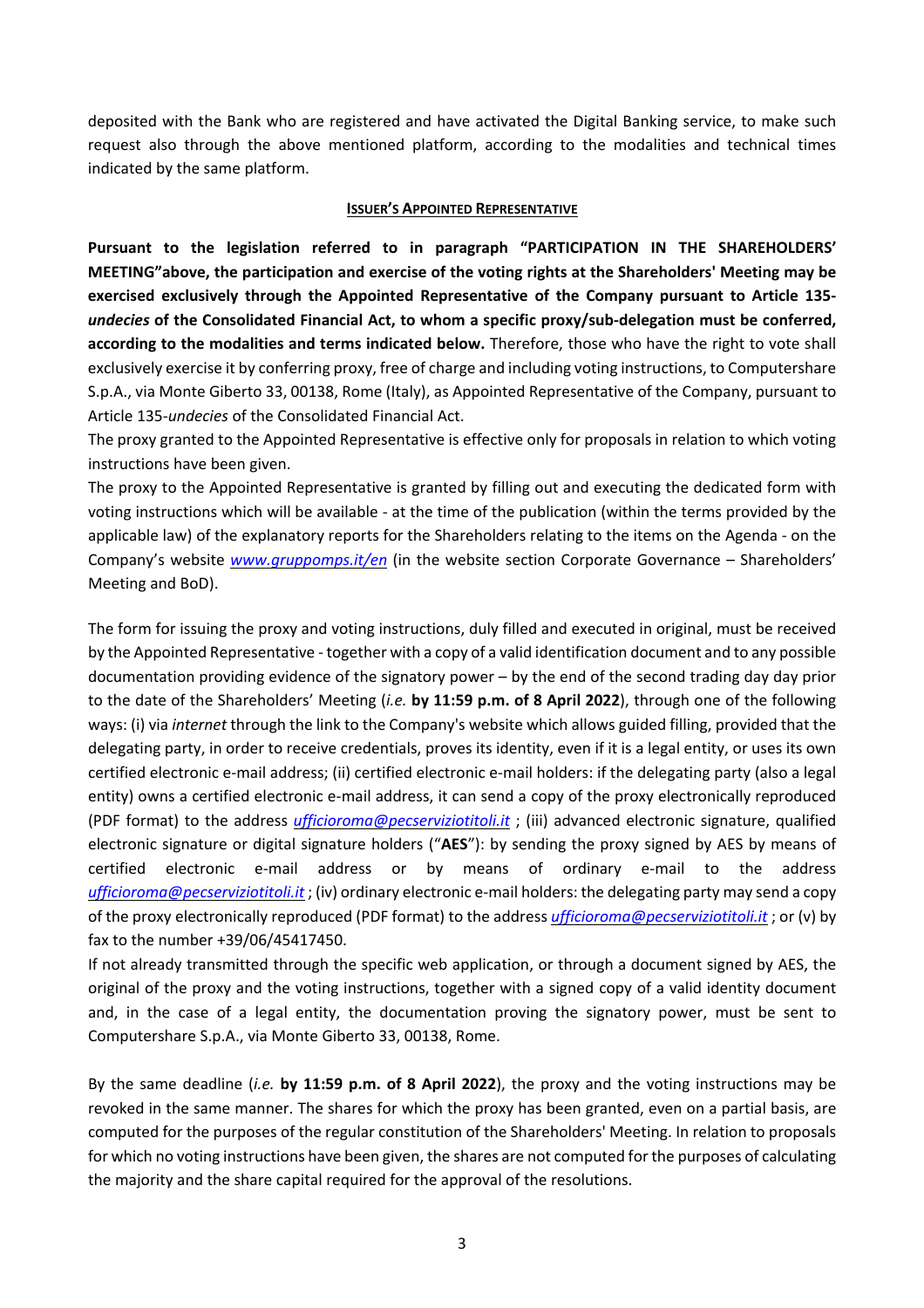deposited with the Bank who are registered and have activated the Digital Banking service, to make such request also through the above mentioned platform, according to the modalities and technical times indicated by the same platform.

#### **ISSUER'S APPOINTED REPRESENTATIVE**

**Pursuant to the legislation referred to in paragraph "PARTICIPATION IN THE SHAREHOLDERS' MEETING"above, the participation and exercise of the voting rights at the Shareholders' Meeting may be exercised exclusively through the Appointed Representative of the Company pursuant to Article 135** *undecies* **of the Consolidated Financial Act, to whom a specific proxy/sub-delegation must be conferred, according to the modalities and terms indicated below.** Therefore, those who have the right to vote shall exclusively exercise it by conferring proxy, free of charge and including voting instructions, to Computershare S.p.A., via Monte Giberto 33, 00138, Rome (Italy), as Appointed Representative of the Company, pursuant to Article 135-*undecies* of the Consolidated Financial Act.

The proxy granted to the Appointed Representative is effective only for proposals in relation to which voting instructions have been given.

The proxy to the Appointed Representative is granted by filling out and executing the dedicated form with voting instructions which will be available - at the time of the publication (within the terms provided by the applicable law) of the explanatory reports for the Shareholders relating to the items on the Agenda - on the Company's website *www.gruppomps.it/en* (in the website section Corporate Governance – Shareholders' Meeting and BoD).

The form for issuing the proxy and voting instructions, duly filled and executed in original, must be received by the Appointed Representative - together with a copy of a valid identification document and to any possible documentation providing evidence of the signatory power – by the end of the second trading day day prior to the date of the Shareholders' Meeting (*i.e.* **by 11:59 p.m. of 8 April 2022**), through one of the following ways: (i) via *internet* through the link to the Company's website which allows guided filling, provided that the delegating party, in order to receive credentials, proves its identity, even if it is a legal entity, or uses its own certified electronic e-mail address; (ii) certified electronic e-mail holders: if the delegating party (also a legal entity) owns a certified electronic e-mail address, it can send a copy of the proxy electronically reproduced (PDF format) to the address *ufficioroma@pecserviziotitoli.it* ; (iii) advanced electronic signature, qualified electronic signature or digital signature holders ("**AES**"): by sending the proxy signed by AES by means of certified electronic e-mail address or by means of ordinary e-mail to the address *ufficioroma@pecserviziotitoli.it* ; (iv) ordinary electronic e-mail holders: the delegating party may send a copy of the proxy electronically reproduced (PDF format) to the address *ufficioroma@pecserviziotitoli.it* ; or (v) by fax to the number +39/06/45417450.

If not already transmitted through the specific web application, or through a document signed by AES, the original of the proxy and the voting instructions, together with a signed copy of a valid identity document and, in the case of a legal entity, the documentation proving the signatory power, must be sent to Computershare S.p.A., via Monte Giberto 33, 00138, Rome.

By the same deadline (*i.e.* **by 11:59 p.m. of 8 April 2022**), the proxy and the voting instructions may be revoked in the same manner. The shares for which the proxy has been granted, even on a partial basis, are computed for the purposes of the regular constitution of the Shareholders' Meeting. In relation to proposals for which no voting instructions have been given, the shares are not computed for the purposes of calculating the majority and the share capital required for the approval of the resolutions.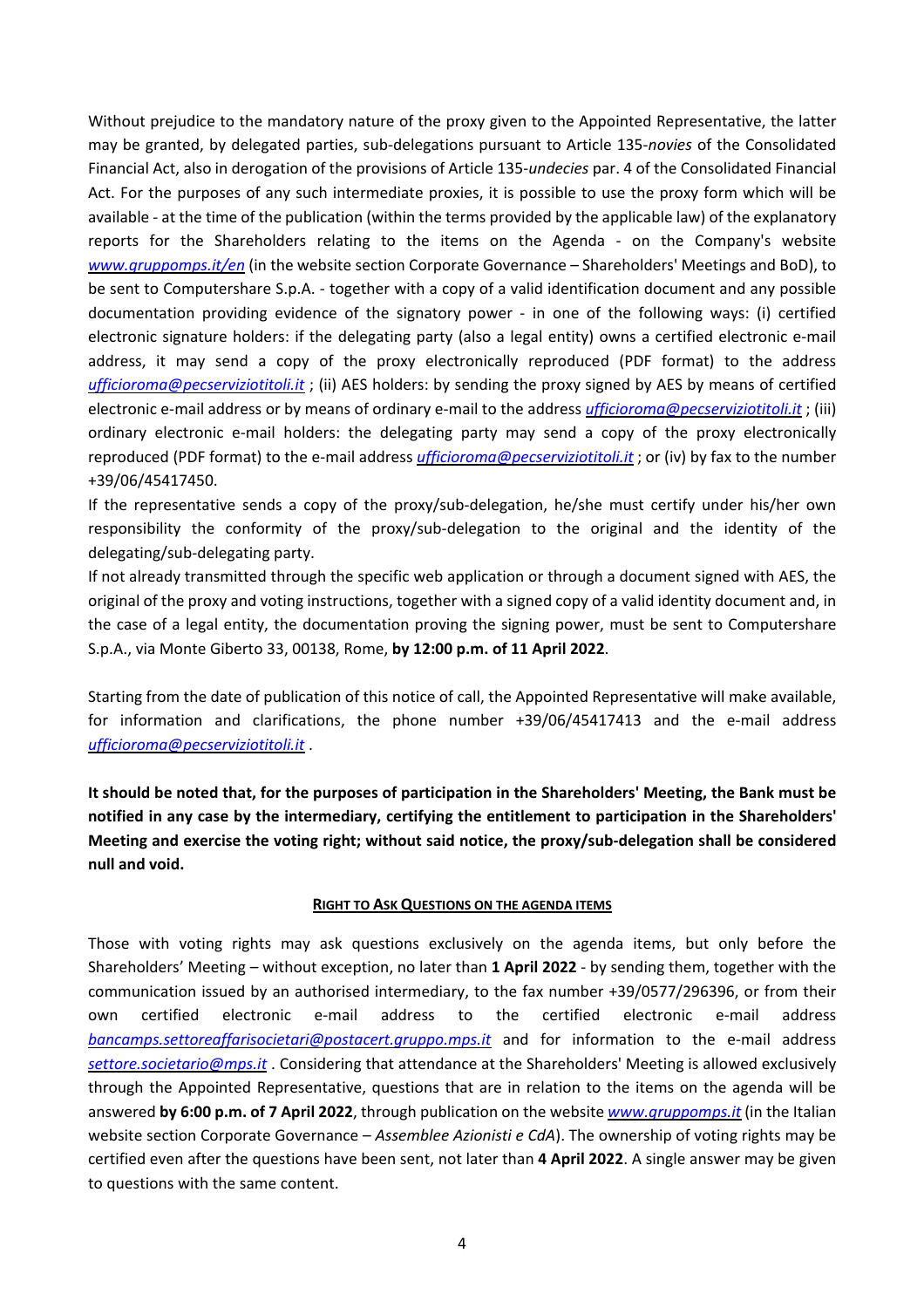Without prejudice to the mandatory nature of the proxy given to the Appointed Representative, the latter may be granted, by delegated parties, sub-delegations pursuant to Article 135-*novies* of the Consolidated Financial Act, also in derogation of the provisions of Article 135-*undecies* par. 4 of the Consolidated Financial Act. For the purposes of any such intermediate proxies, it is possible to use the proxy form which will be available - at the time of the publication (within the terms provided by the applicable law) of the explanatory reports for the Shareholders relating to the items on the Agenda - on the Company's website *www.gruppomps.it/en* (in the website section Corporate Governance – Shareholders' Meetings and BoD), to be sent to Computershare S.p.A. - together with a copy of a valid identification document and any possible documentation providing evidence of the signatory power - in one of the following ways: (i) certified electronic signature holders: if the delegating party (also a legal entity) owns a certified electronic e-mail address, it may send a copy of the proxy electronically reproduced (PDF format) to the address *ufficioroma@pecserviziotitoli.it* ; (ii) AES holders: by sending the proxy signed by AES by means of certified electronic e-mail address or by means of ordinary e-mail to the address *ufficioroma@pecserviziotitoli.it* ; (iii) ordinary electronic e-mail holders: the delegating party may send a copy of the proxy electronically reproduced (PDF format) to the e-mail address *ufficioroma@pecserviziotitoli.it* ; or (iv) by fax to the number +39/06/45417450.

If the representative sends a copy of the proxy/sub-delegation, he/she must certify under his/her own responsibility the conformity of the proxy/sub-delegation to the original and the identity of the delegating/sub-delegating party.

If not already transmitted through the specific web application or through a document signed with AES, the original of the proxy and voting instructions, together with a signed copy of a valid identity document and, in the case of a legal entity, the documentation proving the signing power, must be sent to Computershare S.p.A., via Monte Giberto 33, 00138, Rome, **by 12:00 p.m. of 11 April 2022**.

Starting from the date of publication of this notice of call, the Appointed Representative will make available, for information and clarifications, the phone number +39/06/45417413 and the e-mail address *ufficioroma@pecserviziotitoli.it* .

**It should be noted that, for the purposes of participation in the Shareholders' Meeting, the Bank must be notified in any case by the intermediary, certifying the entitlement to participation in the Shareholders' Meeting and exercise the voting right; without said notice, the proxy/sub-delegation shall be considered null and void.** 

#### **RIGHT TO ASK QUESTIONS ON THE AGENDA ITEMS**

Those with voting rights may ask questions exclusively on the agenda items, but only before the Shareholders' Meeting – without exception, no later than **1 April 2022** - by sending them, together with the communication issued by an authorised intermediary, to the fax number +39/0577/296396, or from their own certified electronic e-mail address to the certified electronic e-mail address *bancamps.settoreaffarisocietari@postacert.gruppo.mps.it* and for information to the e-mail address *settore.societario@mps.it* . Considering that attendance at the Shareholders' Meeting is allowed exclusively through the Appointed Representative, questions that are in relation to the items on the agenda will be answered **by 6:00 p.m. of 7 April 2022**, through publication on the website *www.gruppomps.it* (in the Italian website section Corporate Governance – *Assemblee Azionisti e CdA*). The ownership of voting rights may be certified even after the questions have been sent, not later than **4 April 2022**. A single answer may be given to questions with the same content.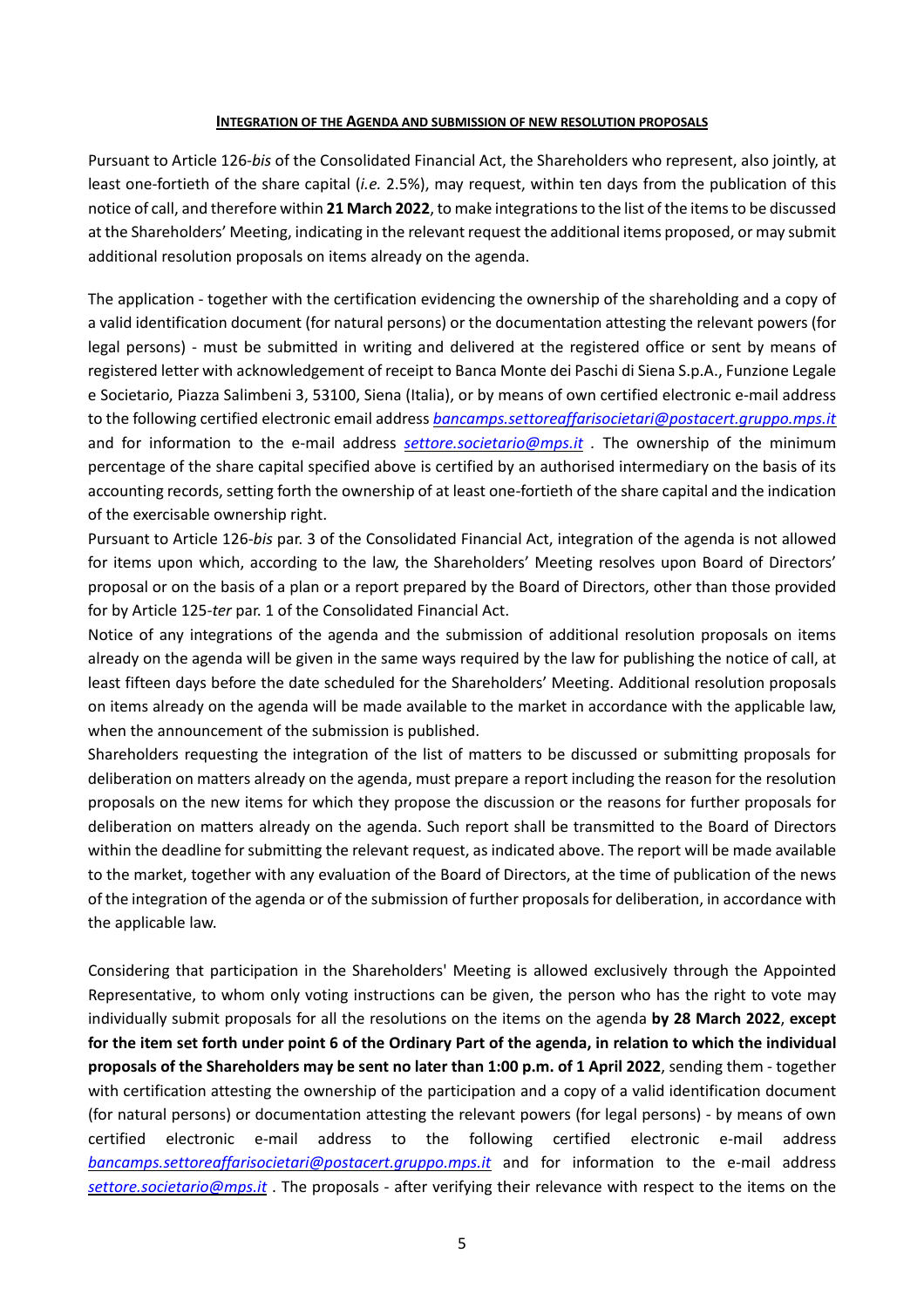#### **INTEGRATION OF THE AGENDA AND SUBMISSION OF NEW RESOLUTION PROPOSALS**

Pursuant to Article 126-*bis* of the Consolidated Financial Act, the Shareholders who represent, also jointly, at least one-fortieth of the share capital (*i.e.* 2.5%), may request, within ten days from the publication of this notice of call, and therefore within **21 March 2022**, to make integrations to the list of the items to be discussed at the Shareholders' Meeting, indicating in the relevant request the additional items proposed, or may submit additional resolution proposals on items already on the agenda.

The application - together with the certification evidencing the ownership of the shareholding and a copy of a valid identification document (for natural persons) or the documentation attesting the relevant powers (for legal persons) - must be submitted in writing and delivered at the registered office or sent by means of registered letter with acknowledgement of receipt to Banca Monte dei Paschi di Siena S.p.A., Funzione Legale e Societario, Piazza Salimbeni 3, 53100, Siena (Italia), or by means of own certified electronic e-mail address to the following certified electronic email address *bancamps.settoreaffarisocietari@postacert.gruppo.mps.it* and for information to the e-mail address *settore.societario@mps.it .* The ownership of the minimum percentage of the share capital specified above is certified by an authorised intermediary on the basis of its accounting records, setting forth the ownership of at least one-fortieth of the share capital and the indication of the exercisable ownership right.

Pursuant to Article 126-*bis* par. 3 of the Consolidated Financial Act, integration of the agenda is not allowed for items upon which, according to the law, the Shareholders' Meeting resolves upon Board of Directors' proposal or on the basis of a plan or a report prepared by the Board of Directors, other than those provided for by Article 125*-ter* par. 1 of the Consolidated Financial Act.

Notice of any integrations of the agenda and the submission of additional resolution proposals on items already on the agenda will be given in the same ways required by the law for publishing the notice of call, at least fifteen days before the date scheduled for the Shareholders' Meeting. Additional resolution proposals on items already on the agenda will be made available to the market in accordance with the applicable law, when the announcement of the submission is published.

Shareholders requesting the integration of the list of matters to be discussed or submitting proposals for deliberation on matters already on the agenda, must prepare a report including the reason for the resolution proposals on the new items for which they propose the discussion or the reasons for further proposals for deliberation on matters already on the agenda. Such report shall be transmitted to the Board of Directors within the deadline for submitting the relevant request, as indicated above. The report will be made available to the market, together with any evaluation of the Board of Directors, at the time of publication of the news of the integration of the agenda or of the submission of further proposals for deliberation, in accordance with the applicable law.

Considering that participation in the Shareholders' Meeting is allowed exclusively through the Appointed Representative, to whom only voting instructions can be given, the person who has the right to vote may individually submit proposals for all the resolutions on the items on the agenda **by 28 March 2022**, **except for the item set forth under point 6 of the Ordinary Part of the agenda, in relation to which the individual proposals of the Shareholders may be sent no later than 1:00 p.m. of 1 April 2022**, sending them - together with certification attesting the ownership of the participation and a copy of a valid identification document (for natural persons) or documentation attesting the relevant powers (for legal persons) - by means of own certified electronic e-mail address to the following certified electronic e-mail address *bancamps.settoreaffarisocietari@postacert.gruppo.mps.it* and for information to the e-mail address *settore.societario@mps.it* . The proposals - after verifying their relevance with respect to the items on the